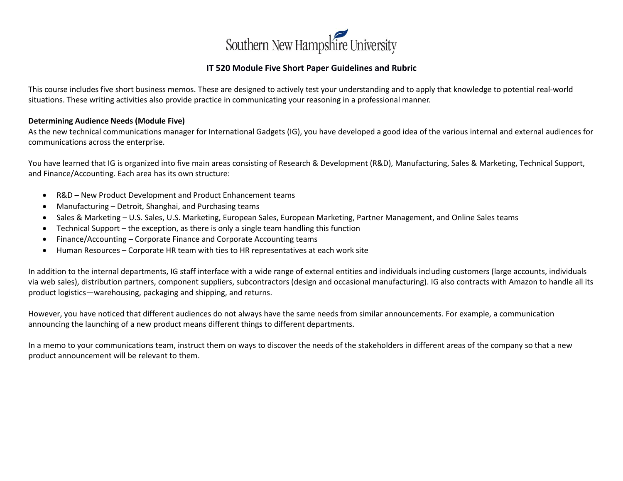

## **IT 520 Module Five Short Paper Guidelines and Rubric**

This course includes five short business memos. These are designed to actively test your understanding and to apply that knowledge to potential real-world situations. These writing activities also provide practice in communicating your reasoning in a professional manner.

## **Determining Audience Needs (Module Five)**

As the new technical communications manager for International Gadgets (IG), you have developed a good idea of the various internal and external audiences for communications across the enterprise.

You have learned that IG is organized into five main areas consisting of Research & Development (R&D), Manufacturing, Sales & Marketing, Technical Support, and Finance/Accounting. Each area has its own structure:

- R&D New Product Development and Product Enhancement teams
- Manufacturing Detroit, Shanghai, and Purchasing teams
- Sales & Marketing U.S. Sales, U.S. Marketing, European Sales, European Marketing, Partner Management, and Online Sales teams
- Technical Support the exception, as there is only a single team handling this function
- Finance/Accounting Corporate Finance and Corporate Accounting teams
- Human Resources Corporate HR team with ties to HR representatives at each work site

In addition to the internal departments, IG staff interface with a wide range of external entities and individuals including customers (large accounts, individuals via web sales), distribution partners, component suppliers, subcontractors (design and occasional manufacturing). IG also contracts with Amazon to handle all its product logistics—warehousing, packaging and shipping, and returns.

However, you have noticed that different audiences do not always have the same needs from similar announcements. For example, a communication announcing the launching of a new product means different things to different departments.

In a memo to your communications team, instruct them on ways to discover the needs of the stakeholders in different areas of the company so that a new product announcement will be relevant to them.